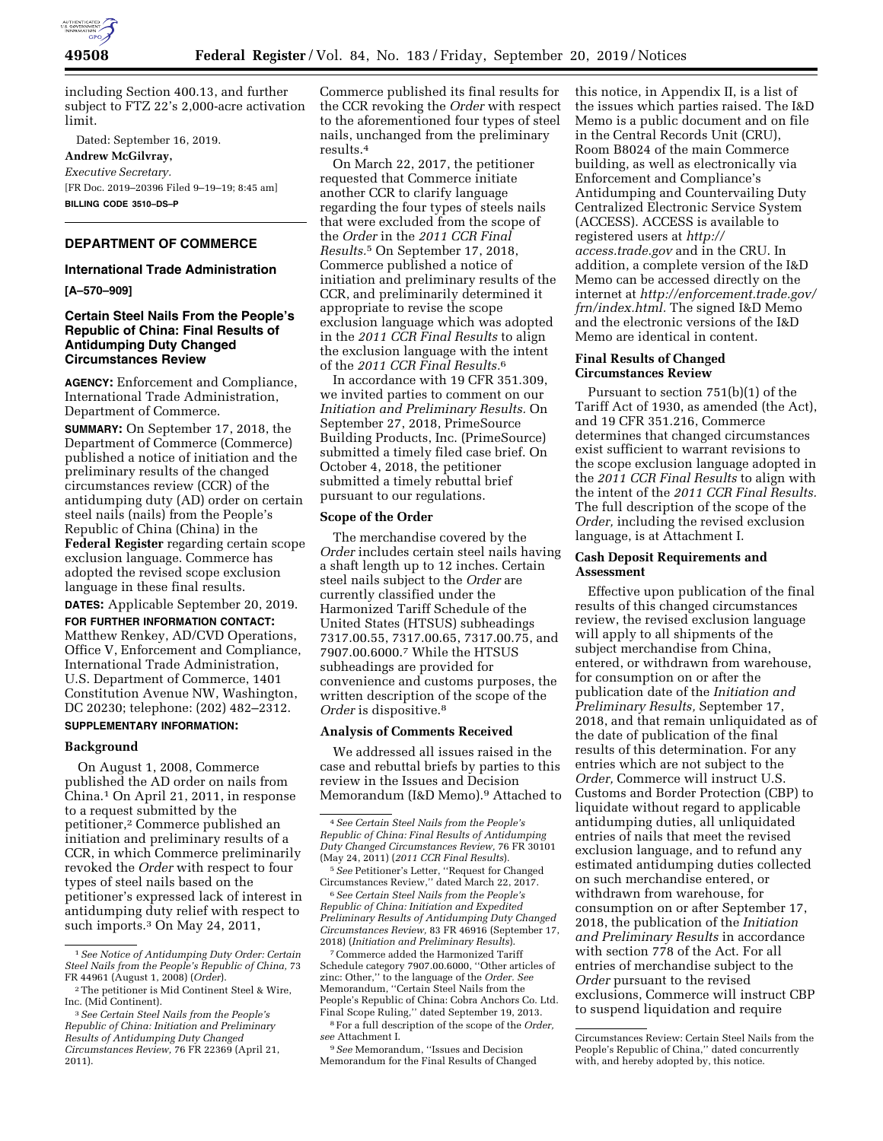

including Section 400.13, and further subject to FTZ 22's 2,000-acre activation limit.

Dated: September 16, 2019.

**Andrew McGilvray,**  *Executive Secretary.*  [FR Doc. 2019–20396 Filed 9–19–19; 8:45 am] **BILLING CODE 3510–DS–P** 

# **DEPARTMENT OF COMMERCE**

## **International Trade Administration**

**[A–570–909]** 

## **Certain Steel Nails From the People's Republic of China: Final Results of Antidumping Duty Changed Circumstances Review**

**AGENCY:** Enforcement and Compliance, International Trade Administration, Department of Commerce.

**SUMMARY:** On September 17, 2018, the Department of Commerce (Commerce) published a notice of initiation and the preliminary results of the changed circumstances review (CCR) of the antidumping duty (AD) order on certain steel nails (nails) from the People's Republic of China (China) in the **Federal Register** regarding certain scope exclusion language. Commerce has adopted the revised scope exclusion language in these final results.

**DATES:** Applicable September 20, 2019.

**FOR FURTHER INFORMATION CONTACT:**  Matthew Renkey, AD/CVD Operations, Office V, Enforcement and Compliance, International Trade Administration, U.S. Department of Commerce, 1401 Constitution Avenue NW, Washington, DC 20230; telephone: (202) 482–2312.

#### **SUPPLEMENTARY INFORMATION:**

#### **Background**

On August 1, 2008, Commerce published the AD order on nails from China.1 On April 21, 2011, in response to a request submitted by the petitioner,2 Commerce published an initiation and preliminary results of a CCR, in which Commerce preliminarily revoked the *Order* with respect to four types of steel nails based on the petitioner's expressed lack of interest in antidumping duty relief with respect to such imports.3 On May 24, 2011,

Commerce published its final results for the CCR revoking the *Order* with respect to the aforementioned four types of steel nails, unchanged from the preliminary results.4

On March 22, 2017, the petitioner requested that Commerce initiate another CCR to clarify language regarding the four types of steels nails that were excluded from the scope of the *Order* in the *2011 CCR Final Results.*5 On September 17, 2018, Commerce published a notice of initiation and preliminary results of the CCR, and preliminarily determined it appropriate to revise the scope exclusion language which was adopted in the *2011 CCR Final Results* to align the exclusion language with the intent of the *2011 CCR Final Results.*6

In accordance with 19 CFR 351.309, we invited parties to comment on our *Initiation and Preliminary Results.* On September 27, 2018, PrimeSource Building Products, Inc. (PrimeSource) submitted a timely filed case brief. On October 4, 2018, the petitioner submitted a timely rebuttal brief pursuant to our regulations.

### **Scope of the Order**

The merchandise covered by the *Order* includes certain steel nails having a shaft length up to 12 inches. Certain steel nails subject to the *Order* are currently classified under the Harmonized Tariff Schedule of the United States (HTSUS) subheadings 7317.00.55, 7317.00.65, 7317.00.75, and 7907.00.6000.7 While the HTSUS subheadings are provided for convenience and customs purposes, the written description of the scope of the *Order* is dispositive.8

### **Analysis of Comments Received**

We addressed all issues raised in the case and rebuttal briefs by parties to this review in the Issues and Decision Memorandum (I&D Memo).9 Attached to

6*See Certain Steel Nails from the People's Republic of China: Initiation and Expedited Preliminary Results of Antidumping Duty Changed Circumstances Review,* 83 FR 46916 (September 17, 2018) (*Initiation and Preliminary Results*).

7Commerce added the Harmonized Tariff Schedule category 7907.00.6000, ''Other articles of zinc: Other,'' to the language of the *Order. See*  Memorandum, ''Certain Steel Nails from the People's Republic of China: Cobra Anchors Co. Ltd. Final Scope Ruling,'' dated September 19, 2013.

8For a full description of the scope of the *Order, see* Attachment I.

9*See* Memorandum, ''Issues and Decision Memorandum for the Final Results of Changed this notice, in Appendix II, is a list of the issues which parties raised. The I&D Memo is a public document and on file in the Central Records Unit (CRU), Room B8024 of the main Commerce building, as well as electronically via Enforcement and Compliance's Antidumping and Countervailing Duty Centralized Electronic Service System (ACCESS). ACCESS is available to registered users at *[http://](http://access.trade.gov) [access.trade.gov](http://access.trade.gov)* and in the CRU. In addition, a complete version of the I&D Memo can be accessed directly on the internet at *[http://enforcement.trade.gov/](http://enforcement.trade.gov/frn/index.html) [frn/index.html.](http://enforcement.trade.gov/frn/index.html)* The signed I&D Memo and the electronic versions of the I&D Memo are identical in content.

## **Final Results of Changed Circumstances Review**

Pursuant to section 751(b)(1) of the Tariff Act of 1930, as amended (the Act), and 19 CFR 351.216, Commerce determines that changed circumstances exist sufficient to warrant revisions to the scope exclusion language adopted in the *2011 CCR Final Results* to align with the intent of the *2011 CCR Final Results.*  The full description of the scope of the *Order,* including the revised exclusion language, is at Attachment I.

## **Cash Deposit Requirements and Assessment**

Effective upon publication of the final results of this changed circumstances review, the revised exclusion language will apply to all shipments of the subject merchandise from China, entered, or withdrawn from warehouse, for consumption on or after the publication date of the *Initiation and Preliminary Results,* September 17, 2018, and that remain unliquidated as of the date of publication of the final results of this determination. For any entries which are not subject to the *Order,* Commerce will instruct U.S. Customs and Border Protection (CBP) to liquidate without regard to applicable antidumping duties, all unliquidated entries of nails that meet the revised exclusion language, and to refund any estimated antidumping duties collected on such merchandise entered, or withdrawn from warehouse, for consumption on or after September 17, 2018, the publication of the *Initiation and Preliminary Results* in accordance with section 778 of the Act. For all entries of merchandise subject to the *Order* pursuant to the revised exclusions, Commerce will instruct CBP to suspend liquidation and require

<sup>1</sup>*See Notice of Antidumping Duty Order: Certain Steel Nails from the People's Republic of China,* 73 FR 44961 (August 1, 2008) (*Order*).

<sup>2</sup>The petitioner is Mid Continent Steel & Wire, Inc. (Mid Continent).

<sup>3</sup>*See Certain Steel Nails from the People's Republic of China: Initiation and Preliminary Results of Antidumping Duty Changed Circumstances Review,* 76 FR 22369 (April 21, 2011).

<sup>4</sup>*See Certain Steel Nails from the People's Republic of China: Final Results of Antidumping Duty Changed Circumstances Review,* 76 FR 30101 (May 24, 2011) (*2011 CCR Final Results*).

<sup>5</sup>*See* Petitioner's Letter, ''Request for Changed Circumstances Review,'' dated March 22, 2017.

Circumstances Review: Certain Steel Nails from the People's Republic of China,'' dated concurrently with, and hereby adopted by, this notice.